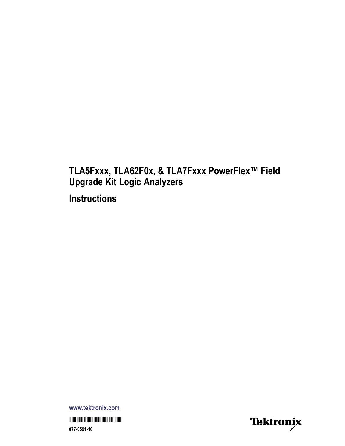## **TLA5Fxxx, TLA62F0x, & TLA7Fxxx PowerFlex™ Field Upgrade Kit Logic Analyzers Instructions**

**www.tektronix.com** \*P077059110\* **077-0591-10**

Tektronix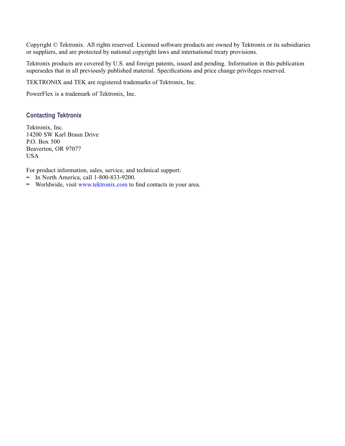Copyright © Tektronix. All rights reserved. Licensed software products are owned by Tektronix or its subsidiaries or suppliers, and are protected by national copyright laws and international treaty provisions.

Tektronix products are covered by U.S. and foreign patents, issued and pending. Information in this publication supersedes that in all previously published material. Specifications and price change privileges reserved.

TEKTRONIX and TEK are registered trademarks of Tektronix, Inc.

PowerFlex is a trademark of Tektronix, Inc.

### **Contacting Tektronix**

Tektronix, Inc. 14200 SW Karl Braun Drive P.O. Box 500 Beaverton, OR 97077 USA

For product information, sales, service, and technical support:

- $\blacksquare$  In North America, call 1-800-833-9200.
- Worldwide, visit [www.tektronix.com](http://www.tektronix.com/contact) to find contacts in your area.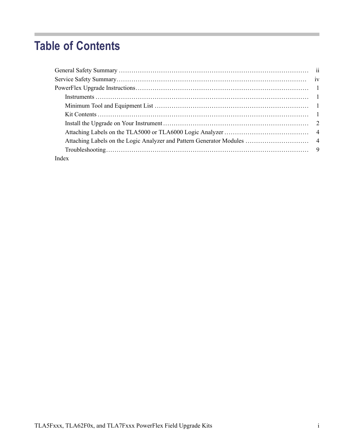# **Table of Contents**

| Index |  |
|-------|--|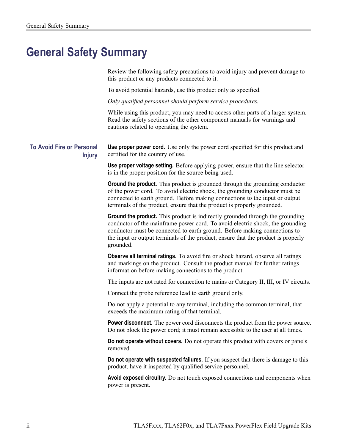# <span id="page-3-0"></span>**General Safety Summary**

Review the following safety precautions to avoid injury and prevent damage to this product or any products connected to it.

To avoid potential hazards, use this product only as specified.

*Only qualified personnel should perform service procedures.*

While using this product, you may need to access other parts of a larger system. Read the safety sections of the other component manuals for warnings and cautions related to operating the system.

**To Avoid Fire or Personal Injury**

**Use proper power cord.** Use only the power cord specified for this product and certified for the country of use.

**Use proper voltage setting.** Before applying power, ensure that the line selector is in the proper position for the source being used.

**Ground the product.** This product is grounded through the grounding conductor of the power cord. To avoid electric shock, the grounding conductor must be connected to earth ground. Before making connections to the input or output terminals of the product, ensure that the product is properly grounded.

**Ground the product.** This product is indirectly grounded through the grounding conductor of the mainframe power cord. To avoid electric shock, the grounding conductor must be connected to earth ground. Before making connections to the input or output terminals of the product, ensure that the product is properly grounded.

**Observe all terminal ratings.** To avoid fire or shock hazard, observe all ratings and markings on the product. Consult the product manual for further ratings information before making connections to the product.

The inputs are not rated for connection to mains or Category II, III, or IV circuits.

Connect the probe reference lead to earth ground only.

Do not apply a potential to any terminal, including the common terminal, that exceeds the maximum rating of that terminal.

**Power disconnect.** The power cord disconnects the product from the power source. Do not block the power cord; it must remain accessible to the user at all times.

**Do not operate without covers.** Do not operate this product with covers or panels removed.

**Do not operate with suspected failures.** If you suspect that there is damage to this product, have it inspected by qualified service personnel.

**Avoid exposed circuitry.** Do not touch exposed connections and components when power is present.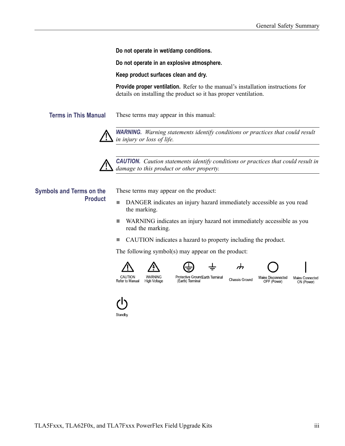**Do not operate in wet/damp conditions.**

**Do not operate in an explosive atmosphere.**

**Keep product surfaces clean and dry.**

**Provide proper ventilation.** Refer to the manual's installation instructions for details on installing the product so it has proper ventilation.

**Terms in This Manual** These terms may appear in this manual:



*WARNING. Warning statements identify conditions or practices that could result in injury or loss of life.*



*CAUTION. Caution statements identify conditions or practices that could result in damage to this product or other property.*

### **Symbols and Terms on the Product**

These terms may appear on the product:

- n. DANGER indicates an injury hazard immediately accessible as you read the marking.
- n. WARNING indicates an injury hazard not immediately accessible as you read the marking.

ᆂ

 $\blacksquare$ CAUTION indicates a hazard to property including the product.

The following symbol(s) may appear on the product:













Refer to Manual High Voltage

**WARNING** 

Protective GroundEarth Terminal (Earth) Terminal

OFF (Power)

Standby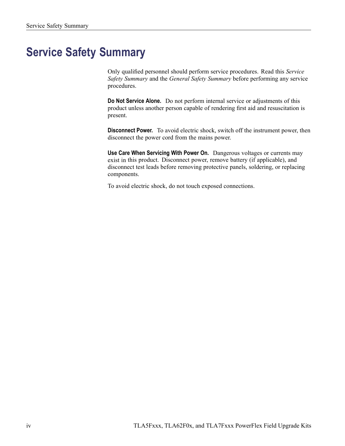# <span id="page-5-0"></span>**Service Safety Summary**

Only qualified personnel should perform service procedures. Read this *Service Safety Summary* and the *General Safety Summary* before performing any service procedures.

**Do Not Service Alone.** Do not perform internal service or adjustments of this product unless another person capable of rendering first aid and resuscitation is present.

**Disconnect Power.** To avoid electric shock, switch off the instrument power, then disconnect the power cord from the mains power.

**Use Care When Servicing With Power On.** Dangerous voltages or currents may exist in this product. Disconnect power, remove battery (if applicable), and disconnect test leads before removing protective panels, soldering, or replacing components.

To avoid electric shock, do not touch exposed connections.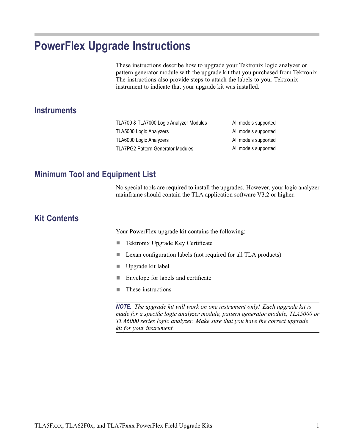# <span id="page-6-0"></span>**PowerFlex Upgrade Instructions**

These instructions describe how to upgrade your Tektronix logic analyzer or pattern generator module with the upgrade kit that you purchased from Tektronix. The instructions also provide steps to attach the labels to your Tektronix instrument to indicate that your upgrade kit was installed.

### **Instruments**

| TLA700 & TLA7000 Logic Analyzer Modules  | All models supported |
|------------------------------------------|----------------------|
| TLA5000 Logic Analyzers                  | All models supported |
| TLA6000 Logic Analyzers                  | All models supported |
| <b>TLA7PG2 Pattern Generator Modules</b> | All models supported |

### **Minimum Tool and Equipment List**

No special tools are required to install the upgrades. However, your logic analyzer mainframe should contain the TLA application software V3.2 or higher.

## **Kit Contents**

Your PowerFlex upgrade kit contains the following:

- $\mathcal{L}_{\mathcal{A}}$ Tektronix Upgrade Key Certificate
- L. Lexan configuration labels (not required for all TLA products)
- $\overline{\phantom{a}}$ Upgrade kit label
- $\overline{\phantom{a}}$ Envelope for labels and certificate
- These instructions П

*NOTE. The upgrade kit will work on one instrument only! Each upgrade kit is made for a specific logic analyzer module, pattern generator module, TLA5000 or TLA6000 series logic analyzer. Make sure that you have the correct upgrade kit for your instrument.*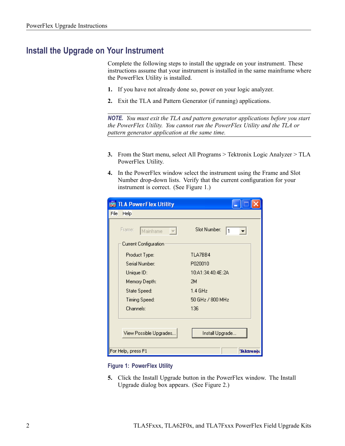### <span id="page-7-0"></span>**Install the Upgrade on Your Instrument**

Complete the following steps to install the upgrade on your instrument. These instructions assume that your instrument is installed in the same mainframe where the PowerFlex Utility is installed.

- **1.** If you have not already done so, power on your logic analyzer.
- **2.** Exit the TLA and Pattern Generator (if running) applications.

*NOTE. You must exit the TLA and pattern generator applications before you start the PowerFlex Utility. You cannot run the PowerFlex Utility and the TLA or pattern generator application at the same time.*

- **3.** From the Start menu, select All Programs > Tektronix Logic Analyzer > TLA PowerFlex Utility.
- **4.** In the PowerFlex window select the instrument using the Frame and Slot Number drop-down lists. Verify that the current configuration for your instrument is correct. (See Figure 1.)

| <b>WE TLA PowerFlex Utility</b> |                   |
|---------------------------------|-------------------|
| File<br>Help                    |                   |
| Frame:<br>Mainframe             | Slot Number:<br>1 |
| Current Configuration           |                   |
| Product Type:                   | TLA7BB4           |
| Serial Number:                  | P020010           |
| Unique ID:                      | 10:A1:34:40:4E:2A |
| Memory Depth:                   | 2M                |
| State Speed:                    | $1.4$ GHz         |
| Timing Speed:                   | 50 GHz / 800 MHz  |
| Channels:                       | 136               |
| View Possible Upgrades          | Install Upgrade   |
| For Help, press F1              | <b>Tektronix</b>  |

**Figure 1: PowerFlex Utility**

**5.** Click the Install Upgrade button in the PowerFlex window. The Install Upgrade dialog box appears. [\(See Figure 2.\)](#page-8-0)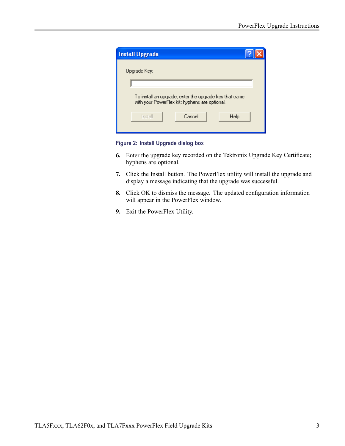<span id="page-8-0"></span>

| <b>Install Upgrade</b>                                                                                   |  |  |
|----------------------------------------------------------------------------------------------------------|--|--|
| Upgrade Key:                                                                                             |  |  |
|                                                                                                          |  |  |
| To install an upgrade, enter the upgrade key that came<br>with your PowerFlex kit; hyphens are optional. |  |  |
| Cancel<br>Install<br>Help                                                                                |  |  |
|                                                                                                          |  |  |

**Figure 2: Install Upgrade dialog box**

- **6.** Enter the upgrade key recorded on the Tektronix Upgrade Key Certificate; hyphens are optional.
- **7.** Click the Install button. The PowerFlex utility will install the upgrade and display a message indicating that the upgrade was successful.
- **8.** Click OK to dismiss the message. The updated configuration information will appear in the PowerFlex window.
- **9.** Exit the PowerFlex Utility.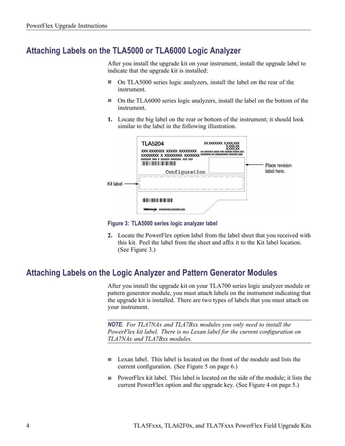### <span id="page-9-0"></span>**Attaching Labels on the TLA5000 or TLA6000 Logic Analyzer**

After you install the upgrade kit on your instrument, install the upgrade label to indicate that the upgrade kit is installed:

- On TLA5000 series logic analyzers, install the label on the rear of the  $\overline{\phantom{a}}$ instrument.
- On the TLA6000 series logic analyzers, install the label on the bottom of the **I** instrument.
- **1.** Locate the big label on the rear or bottom of the instrument; it should look similar to the label in the following illustration.



**Figure 3: TLA5000 series logic analyzer label**

**2.** Locate the PowerFlex option label from the label sheet that you received with this kit. Peel the label from the sheet and affix it to the Kit label location. (See Figure 3.)

### **Attaching Labels on the Logic Analyzer and Pattern Generator Modules**

After you install the upgrade kit on your TLA700 series logic analyzer module or pattern generator module, you must attach labels on the instrument indicating that the upgrade kit is installed. There are two types of labels that you must attach on your instrument.

*NOTE. For TLA7NAx and TLA7Bxx modules you only need to install the PowerFlex kit label. There is no Lexan label for the current configuration on TLA7NAx and TLA7Bxx modules.*

- Lexan label. This label is located on the front of the module and lists the  $\Box$ current configuration. (See Figure 5 on page [6.\)](#page-11-0)
- **The State** PowerFlex kit label. This label is located on the side of the module; it lists the current PowerFlex option and the upgrade key. (See Figure 4 on page [5.\)](#page-10-0)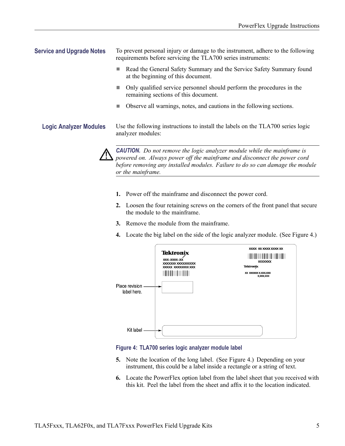<span id="page-10-0"></span>**Service and Upgrade Notes** To prevent personal injury or damage to the instrument, adhere to the following requirements before servicing the TLA700 series instruments:

- $\Box$ Read the General Safety Summary and the Service Safety Summary found at the beginning of this document.
- Only qualified service personnel should perform the procedures in the remaining sections of this document.
- Observe all warnings, notes, and cautions in the following sections.  $\mathcal{L}_{\mathcal{A}}$

**Logic Analyzer Modules** Use the following instructions to install the labels on the TLA700 series logic analyzer modules:



*CAUTION. Do not remove the logic analyzer module while the mainframe is powered on. Always power off the mainframe and disconnect the power cord before removing any installed modules. Failure to do so can damage the module or the mainframe.*

- **1.** Power off the mainframe and disconnect the power cord.
- **2.** Loosen the four retaining screws on the corners of the front panel that secure the module to the mainframe.
- **3.** Remove the module from the mainframe.
- **4.** Locate the big label on the side of the logic analyzer module. (See Figure 4.)

| Place revision<br>label here. | <b>Tektronix</b><br>XXX-XXXX-XX<br>XXXXXXXXXXXXXXXXX<br>XXXXX XXXXXXXXXXXXX | XXXX XXXXXXXXXXXX<br><b>XXXXXXXX</b><br><b>Tektronix</b><br>XX XXXXXXXXXXX<br><b>X,XXX,XXX</b> |
|-------------------------------|-----------------------------------------------------------------------------|------------------------------------------------------------------------------------------------|
| Kit label                     |                                                                             |                                                                                                |

### **Figure 4: TLA700 series logic analyzer module label**

- **5.** Note the location of the long label. (See Figure 4.) Depending on your instrument, this could be a label inside a rectangle or a string of text.
- **6.** Locate the PowerFlex option label from the label sheet that you received with this kit. Peel the label from the sheet and affix it to the location indicated.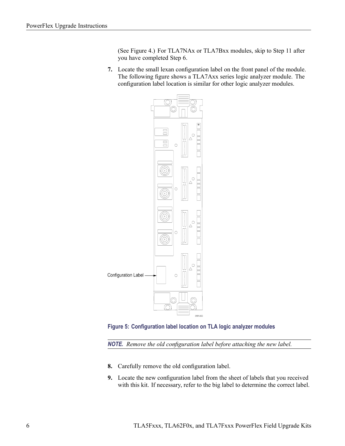[\(See Figure 4.\)](#page-10-0) For TLA7NAx or TLA7Bxx modules, skip to Step [11](#page-12-0) after you have completed Ste[p 6](#page-10-0).

<span id="page-11-0"></span>**7.** Locate the small lexan configuration label on the front panel of the module. The following figure shows a TLA7Axx series logic analyzer module. The configuration label location is similar for other logic analyzer modules.





*NOTE. Remove the old configuration label before attaching the new label.*

- **8.** Carefully remove the old configuration label.
- **9.** Locate the new configuration label from the sheet of labels that you received with this kit. If necessary, refer to the big label to determine the correct label.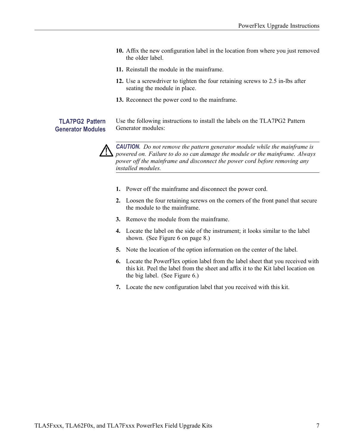- <span id="page-12-0"></span>**10.** Affix the new configuration label in the location from where you just removed the older label.
- **11.** Reinstall the module in the mainframe.
- **12.** Use a screwdriver to tighten the four retaining screws to 2.5 in-lbs after seating the module in place.
- **13.** Reconnect the power cord to the mainframe.

### **TLA7PG2 Pattern Generator Modules**

Use the following instructions to install the labels on the TLA7PG2 Pattern Generator modules:



*CAUTION. Do not remove the pattern generator module while the mainframe is powered on. Failure to do so can damage the module or the mainframe. Always power off the mainframe and disconnect the power cord before removing any installed modules.*

- **1.** Power off the mainframe and disconnect the power cord.
- **2.** Loosen the four retaining screws on the corners of the front panel that secure the module to the mainframe.
- **3.** Remove the module from the mainframe.
- **4.** Locate the label on the side of the instrument; it looks similar to the label shown. (See Figure 6 on page [8.\)](#page-13-0)
- **5.** Note the location of the option information on the center of the label.
- **6.** Locate the PowerFlex option label from the label sheet that you received with this kit. Peel the label from the sheet and affix it to the Kit label location on the big label. [\(See Figure 6.\)](#page-13-0)
- **7.** Locate the new configuration label that you received with this kit.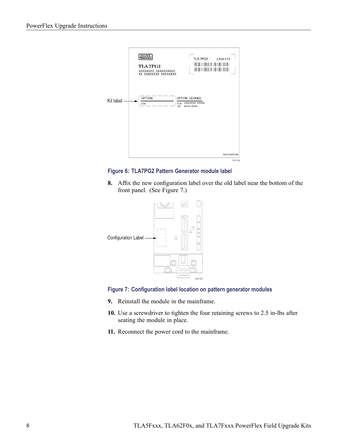<span id="page-13-0"></span>

**Figure 6: TLA7PG2 Pattern Generator module label**

**8.** Affix the new configuration label over the old label near the bottom of the front panel. (See Figure 7.)





- **9.** Reinstall the module in the mainframe.
- **10.** Use a screwdriver to tighten the four retaining screws to 2.5 in-lbs after seating the module in place.
- **11.** Reconnect the power cord to the mainframe.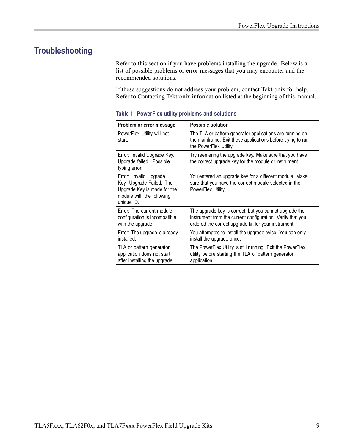## <span id="page-14-0"></span>**Troubleshooting**

Refer to this section if you have problems installing the upgrade. Below is a list of possible problems or error messages that you may encounter and the recommended solutions.

If these suggestions do not address your problem, contact Tektronix for help. Refer to Contacting Tektronix information listed at the beginning of this manual.

| Problem or error message                                                                                                     | <b>Possible solution</b>                                                                                                                                                     |
|------------------------------------------------------------------------------------------------------------------------------|------------------------------------------------------------------------------------------------------------------------------------------------------------------------------|
| PowerFlex Utility will not<br>start.                                                                                         | The TLA or pattern generator applications are running on<br>the mainframe. Exit these applications before trying to run<br>the PowerFlex Utility.                            |
| Error: Invalid Upgrade Key.<br>Upgrade failed. Possible<br>typing error.                                                     | Try reentering the upgrade key. Make sure that you have<br>the correct upgrade key for the module or instrument.                                                             |
| Error: Invalid Upgrade<br>Key. Upgrade Failed. The<br>Upgrade Key is made for the<br>module with the following<br>unique ID. | You entered an upgrade key for a different module. Make<br>sure that you have the correct module selected in the<br>PowerFlex Utility.                                       |
| Error: The current module<br>configuration is incompatible<br>with the upgrade.                                              | The upgrade key is correct, but you cannot upgrade the<br>instrument from the current configuration. Verify that you<br>ordered the correct upgrade kit for your instrument. |
| Error: The upgrade is already<br>installed.                                                                                  | You attempted to install the upgrade twice. You can only<br>install the upgrade once.                                                                                        |
| TLA or pattern generator<br>application does not start<br>after installing the upgrade.                                      | The PowerFlex Utility is still running. Exit the PowerFlex<br>utility before starting the TLA or pattern generator<br>application.                                           |

### **Table 1: PowerFlex utility problems and solutions**